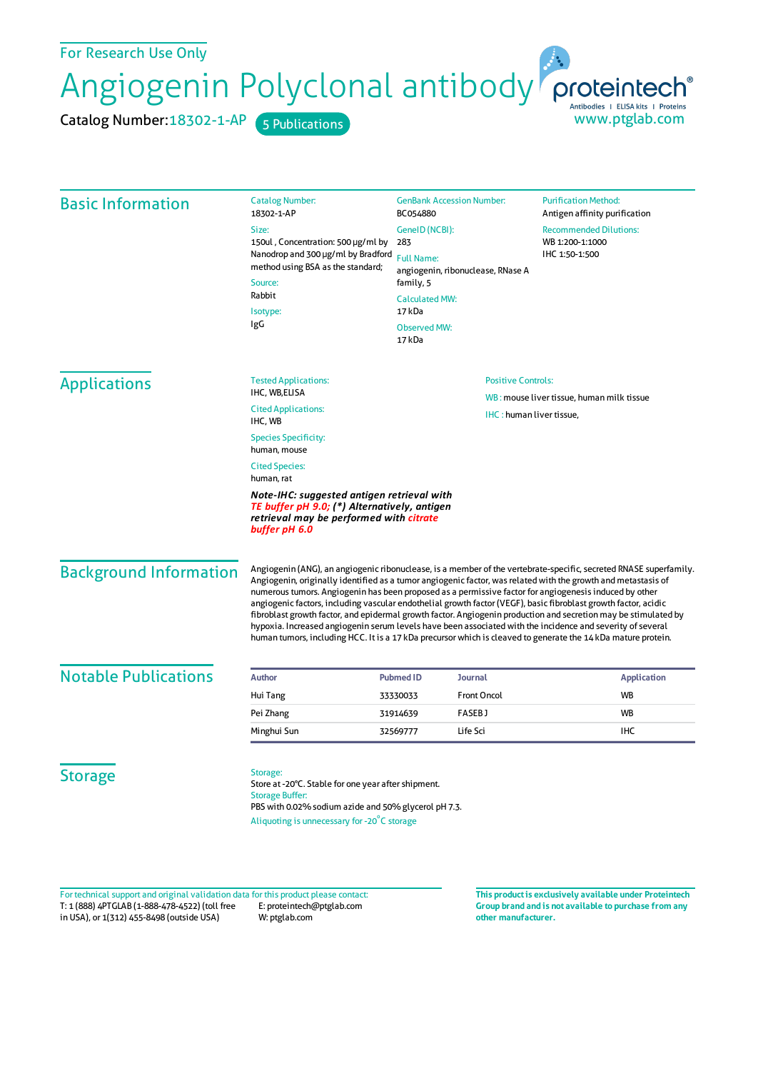For Research Use Only

Angiogenin Polyclonal antibody

Catalog Number: 18302-1-AP 5 Publications

| <b>Basic Information</b>      | <b>Catalog Number:</b><br>18302-1-AP                                                                                                                                                                                                                                                                                                                                                                                                                                                                                                                                                                                                                                                                                                                                                                              | <b>GenBank Accession Number:</b><br>BC054880                                                                                                           | <b>Purification Method:</b><br>Antigen affinity purification       |
|-------------------------------|-------------------------------------------------------------------------------------------------------------------------------------------------------------------------------------------------------------------------------------------------------------------------------------------------------------------------------------------------------------------------------------------------------------------------------------------------------------------------------------------------------------------------------------------------------------------------------------------------------------------------------------------------------------------------------------------------------------------------------------------------------------------------------------------------------------------|--------------------------------------------------------------------------------------------------------------------------------------------------------|--------------------------------------------------------------------|
|                               | Size:<br>150ul, Concentration: 500 µg/ml by<br>Nanodrop and 300 µg/ml by Bradford<br>method using BSA as the standard;<br>Source:<br>Rabbit<br>Isotype:<br>IgG                                                                                                                                                                                                                                                                                                                                                                                                                                                                                                                                                                                                                                                    | GenelD (NCBI):<br>283<br><b>Full Name:</b><br>angiogenin, ribonuclease, RNase A<br>family, 5<br><b>Calculated MW:</b><br>17 kDa<br><b>Observed MW:</b> | <b>Recommended Dilutions:</b><br>WB 1:200-1:1000<br>IHC 1:50-1:500 |
|                               |                                                                                                                                                                                                                                                                                                                                                                                                                                                                                                                                                                                                                                                                                                                                                                                                                   | 17 kDa                                                                                                                                                 |                                                                    |
| <b>Applications</b>           | <b>Tested Applications:</b><br>IHC, WB,ELISA                                                                                                                                                                                                                                                                                                                                                                                                                                                                                                                                                                                                                                                                                                                                                                      | <b>Positive Controls:</b><br>WB: mouse liver tissue, human milk tissue                                                                                 |                                                                    |
|                               | <b>Cited Applications:</b><br><b>IHC:</b> human liver tissue,<br>IHC, WB                                                                                                                                                                                                                                                                                                                                                                                                                                                                                                                                                                                                                                                                                                                                          |                                                                                                                                                        |                                                                    |
|                               | <b>Species Specificity:</b><br>human, mouse                                                                                                                                                                                                                                                                                                                                                                                                                                                                                                                                                                                                                                                                                                                                                                       |                                                                                                                                                        |                                                                    |
|                               | <b>Cited Species:</b><br>human, rat                                                                                                                                                                                                                                                                                                                                                                                                                                                                                                                                                                                                                                                                                                                                                                               |                                                                                                                                                        |                                                                    |
|                               | Note-IHC: suggested antigen retrieval with<br>TE buffer pH 9.0; (*) Alternatively, antigen<br>retrieval may be performed with citrate<br>buffer pH 6.0                                                                                                                                                                                                                                                                                                                                                                                                                                                                                                                                                                                                                                                            |                                                                                                                                                        |                                                                    |
| <b>Background Information</b> | Angiogenin (ANG), an angiogenic ribonuclease, is a member of the vertebrate-specific, secreted RNASE superfamily.<br>Angiogenin, originally identified as a tumor angiogenic factor, was related with the growth and metastasis of<br>numerous tumors. Angiogenin has been proposed as a permissive factor for angiogenesis induced by other<br>angiogenic factors, including vascular endothelial growth factor (VEGF), basic fibroblast growth factor, acidic<br>fibroblast growth factor, and epidermal growth factor. Angiogenin production and secretion may be stimulated by<br>hypoxia. Increased angiogenin serum levels have been associated with the incidence and severity of several<br>human tumors, including HCC. It is a 17 kDa precursor which is cleaved to generate the 14 kDa mature protein. |                                                                                                                                                        |                                                                    |
| <b>Notable Publications</b>   | <b>Author</b>                                                                                                                                                                                                                                                                                                                                                                                                                                                                                                                                                                                                                                                                                                                                                                                                     | <b>Pubmed ID</b><br><b>Journal</b>                                                                                                                     | <b>Application</b>                                                 |
|                               | Hui Tang                                                                                                                                                                                                                                                                                                                                                                                                                                                                                                                                                                                                                                                                                                                                                                                                          | <b>Front Oncol</b><br>33330033                                                                                                                         | WB                                                                 |
|                               | Pei Zhang                                                                                                                                                                                                                                                                                                                                                                                                                                                                                                                                                                                                                                                                                                                                                                                                         | <b>FASEBJ</b><br>31914639                                                                                                                              | WB                                                                 |
|                               | Minghui Sun                                                                                                                                                                                                                                                                                                                                                                                                                                                                                                                                                                                                                                                                                                                                                                                                       | 32569777<br>Life Sci                                                                                                                                   | <b>IHC</b>                                                         |
| <b>Storage</b>                | Storage:<br>Store at -20°C. Stable for one year after shipment.<br><b>Storage Buffer:</b><br>PBS with 0.02% sodium azide and 50% glycerol pH 7.3.<br>Aliquoting is unnecessary for -20°C storage                                                                                                                                                                                                                                                                                                                                                                                                                                                                                                                                                                                                                  |                                                                                                                                                        |                                                                    |

T: 1 (888) 4PTGLAB (1-888-478-4522) (toll free in USA), or 1(312) 455-8498 (outside USA) E: proteintech@ptglab.com W: ptglab.com Fortechnical support and original validation data forthis product please contact: **This productis exclusively available under Proteintech**

**Group brand and is not available to purchase from any other manufacturer.**

www.ptglab.com